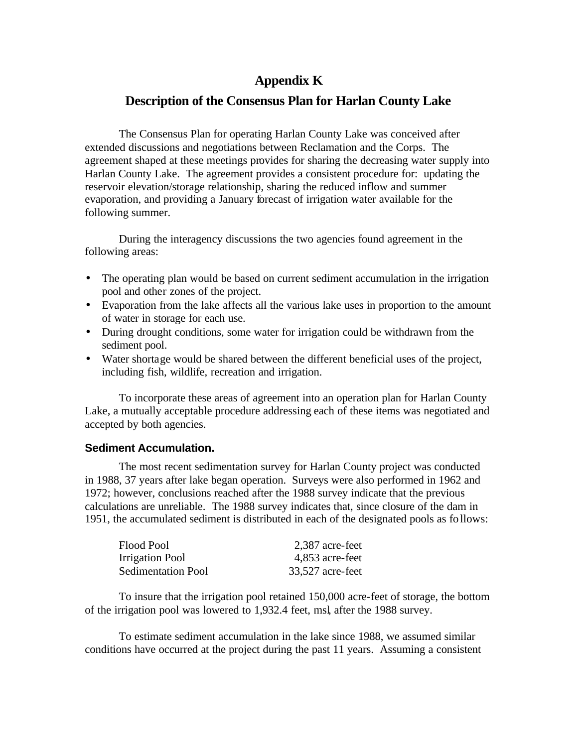# **Appendix K**

## **Description of the Consensus Plan for Harlan County Lake**

The Consensus Plan for operating Harlan County Lake was conceived after extended discussions and negotiations between Reclamation and the Corps. The agreement shaped at these meetings provides for sharing the decreasing water supply into Harlan County Lake. The agreement provides a consistent procedure for: updating the reservoir elevation/storage relationship, sharing the reduced inflow and summer evaporation, and providing a January forecast of irrigation water available for the following summer.

During the interagency discussions the two agencies found agreement in the following areas:

- The operating plan would be based on current sediment accumulation in the irrigation pool and other zones of the project.
- Evaporation from the lake affects all the various lake uses in proportion to the amount of water in storage for each use.
- During drought conditions, some water for irrigation could be withdrawn from the sediment pool.
- Water shortage would be shared between the different beneficial uses of the project, including fish, wildlife, recreation and irrigation.

To incorporate these areas of agreement into an operation plan for Harlan County Lake, a mutually acceptable procedure addressing each of these items was negotiated and accepted by both agencies.

### **Sediment Accumulation.**

The most recent sedimentation survey for Harlan County project was conducted in 1988, 37 years after lake began operation. Surveys were also performed in 1962 and 1972; however, conclusions reached after the 1988 survey indicate that the previous calculations are unreliable. The 1988 survey indicates that, since closure of the dam in 1951, the accumulated sediment is distributed in each of the designated pools as follows:

| Flood Pool                | 2,387 acre-feet  |
|---------------------------|------------------|
| Irrigation Pool           | 4,853 acre-feet  |
| <b>Sedimentation Pool</b> | 33,527 acre-feet |

To insure that the irrigation pool retained 150,000 acre-feet of storage, the bottom of the irrigation pool was lowered to 1,932.4 feet, msl, after the 1988 survey.

To estimate sediment accumulation in the lake since 1988, we assumed similar conditions have occurred at the project during the past 11 years. Assuming a consistent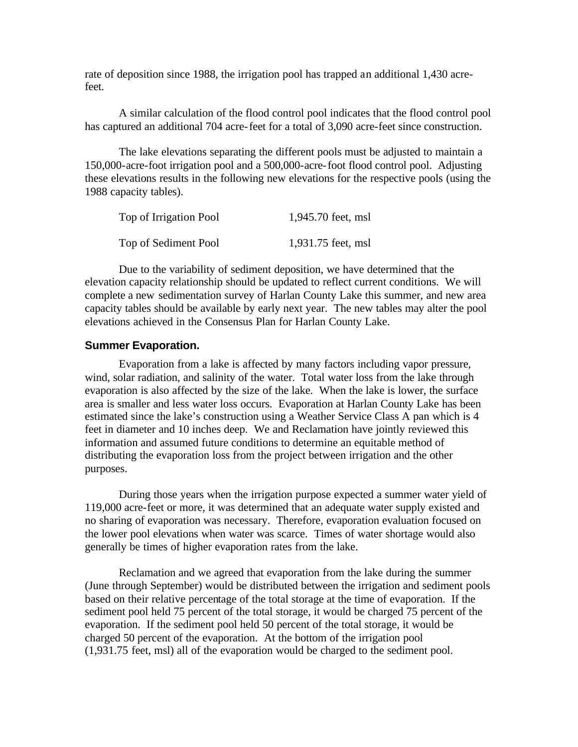rate of deposition since 1988, the irrigation pool has trapped an additional 1,430 acrefeet.

A similar calculation of the flood control pool indicates that the flood control pool has captured an additional 704 acre-feet for a total of 3,090 acre-feet since construction.

The lake elevations separating the different pools must be adjusted to maintain a 150,000-acre-foot irrigation pool and a 500,000-acre-foot flood control pool. Adjusting these elevations results in the following new elevations for the respective pools (using the 1988 capacity tables).

| Top of Irrigation Pool | 1,945.70 feet, msl |
|------------------------|--------------------|
| Top of Sediment Pool   | 1,931.75 feet, msl |

Due to the variability of sediment deposition, we have determined that the elevation capacity relationship should be updated to reflect current conditions. We will complete a new sedimentation survey of Harlan County Lake this summer, and new area capacity tables should be available by early next year. The new tables may alter the pool elevations achieved in the Consensus Plan for Harlan County Lake.

### **Summer Evaporation.**

Evaporation from a lake is affected by many factors including vapor pressure, wind, solar radiation, and salinity of the water. Total water loss from the lake through evaporation is also affected by the size of the lake. When the lake is lower, the surface area is smaller and less water loss occurs. Evaporation at Harlan County Lake has been estimated since the lake's construction using a Weather Service Class A pan which is 4 feet in diameter and 10 inches deep. We and Reclamation have jointly reviewed this information and assumed future conditions to determine an equitable method of distributing the evaporation loss from the project between irrigation and the other purposes.

During those years when the irrigation purpose expected a summer water yield of 119,000 acre-feet or more, it was determined that an adequate water supply existed and no sharing of evaporation was necessary. Therefore, evaporation evaluation focused on the lower pool elevations when water was scarce. Times of water shortage would also generally be times of higher evaporation rates from the lake.

Reclamation and we agreed that evaporation from the lake during the summer (June through September) would be distributed between the irrigation and sediment pools based on their relative percentage of the total storage at the time of evaporation. If the sediment pool held 75 percent of the total storage, it would be charged 75 percent of the evaporation. If the sediment pool held 50 percent of the total storage, it would be charged 50 percent of the evaporation. At the bottom of the irrigation pool (1,931.75 feet, msl) all of the evaporation would be charged to the sediment pool.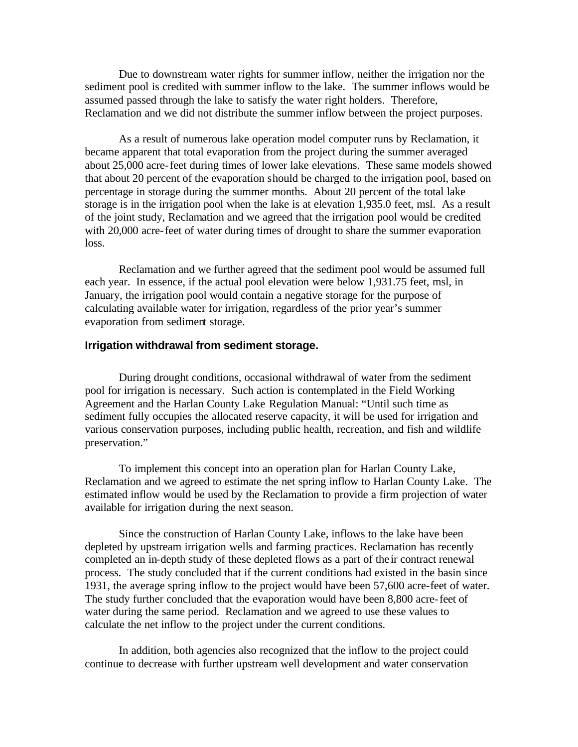Due to downstream water rights for summer inflow, neither the irrigation nor the sediment pool is credited with summer inflow to the lake. The summer inflows would be assumed passed through the lake to satisfy the water right holders. Therefore, Reclamation and we did not distribute the summer inflow between the project purposes.

As a result of numerous lake operation model computer runs by Reclamation, it became apparent that total evaporation from the project during the summer averaged about 25,000 acre-feet during times of lower lake elevations. These same models showed that about 20 percent of the evaporation should be charged to the irrigation pool, based on percentage in storage during the summer months. About 20 percent of the total lake storage is in the irrigation pool when the lake is at elevation 1,935.0 feet, msl. As a result of the joint study, Reclamation and we agreed that the irrigation pool would be credited with 20,000 acre-feet of water during times of drought to share the summer evaporation loss.

Reclamation and we further agreed that the sediment pool would be assumed full each year. In essence, if the actual pool elevation were below 1,931.75 feet, msl, in January, the irrigation pool would contain a negative storage for the purpose of calculating available water for irrigation, regardless of the prior year's summer evaporation from sediment storage.

#### **Irrigation withdrawal from sediment storage.**

During drought conditions, occasional withdrawal of water from the sediment pool for irrigation is necessary. Such action is contemplated in the Field Working Agreement and the Harlan County Lake Regulation Manual: "Until such time as sediment fully occupies the allocated reserve capacity, it will be used for irrigation and various conservation purposes, including public health, recreation, and fish and wildlife preservation."

To implement this concept into an operation plan for Harlan County Lake, Reclamation and we agreed to estimate the net spring inflow to Harlan County Lake. The estimated inflow would be used by the Reclamation to provide a firm projection of water available for irrigation during the next season.

Since the construction of Harlan County Lake, inflows to the lake have been depleted by upstream irrigation wells and farming practices. Reclamation has recently completed an in-depth study of these depleted flows as a part of the ir contract renewal process. The study concluded that if the current conditions had existed in the basin since 1931, the average spring inflow to the project would have been 57,600 acre-feet of water. The study further concluded that the evaporation would have been 8,800 acre-feet of water during the same period. Reclamation and we agreed to use these values to calculate the net inflow to the project under the current conditions.

In addition, both agencies also recognized that the inflow to the project could continue to decrease with further upstream well development and water conservation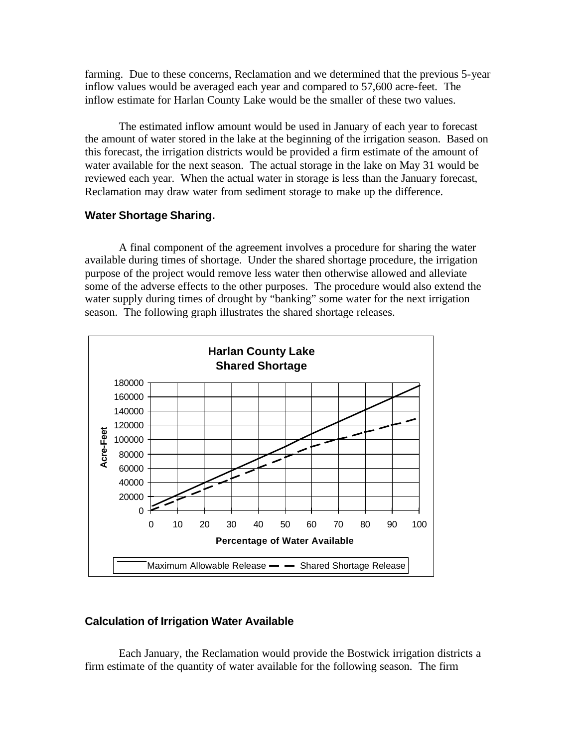farming. Due to these concerns, Reclamation and we determined that the previous 5-year inflow values would be averaged each year and compared to 57,600 acre-feet. The inflow estimate for Harlan County Lake would be the smaller of these two values.

The estimated inflow amount would be used in January of each year to forecast the amount of water stored in the lake at the beginning of the irrigation season. Based on this forecast, the irrigation districts would be provided a firm estimate of the amount of water available for the next season. The actual storage in the lake on May 31 would be reviewed each year. When the actual water in storage is less than the January forecast, Reclamation may draw water from sediment storage to make up the difference.

### **Water Shortage Sharing.**

A final component of the agreement involves a procedure for sharing the water available during times of shortage. Under the shared shortage procedure, the irrigation purpose of the project would remove less water then otherwise allowed and alleviate some of the adverse effects to the other purposes. The procedure would also extend the water supply during times of drought by "banking" some water for the next irrigation season. The following graph illustrates the shared shortage releases.



## **Calculation of Irrigation Water Available**

Each January, the Reclamation would provide the Bostwick irrigation districts a firm estimate of the quantity of water available for the following season. The firm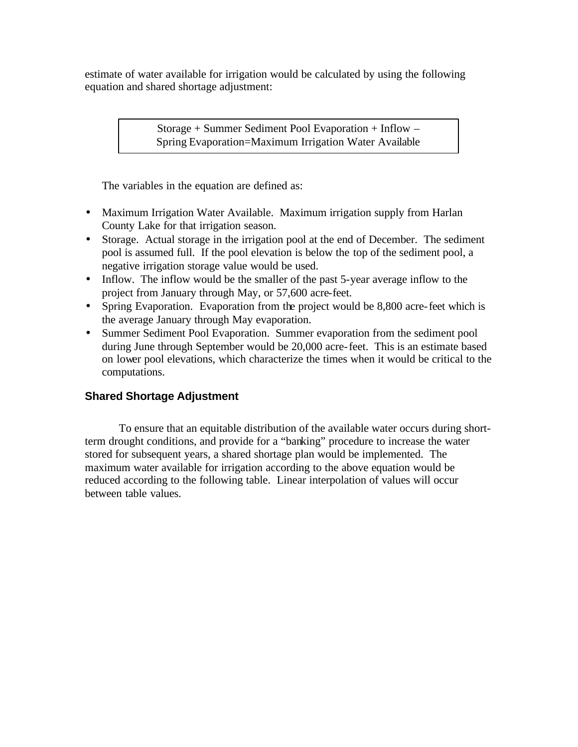estimate of water available for irrigation would be calculated by using the following equation and shared shortage adjustment:

> Storage + Summer Sediment Pool Evaporation + Inflow – Spring Evaporation=Maximum Irrigation Water Available

The variables in the equation are defined as:

- Maximum Irrigation Water Available. Maximum irrigation supply from Harlan County Lake for that irrigation season.
- Storage. Actual storage in the irrigation pool at the end of December. The sediment pool is assumed full. If the pool elevation is below the top of the sediment pool, a negative irrigation storage value would be used.
- Inflow. The inflow would be the smaller of the past 5-year average inflow to the project from January through May, or 57,600 acre-feet.
- Spring Evaporation. Evaporation from the project would be 8,800 acre-feet which is the average January through May evaporation.
- Summer Sediment Pool Evaporation. Summer evaporation from the sediment pool during June through September would be 20,000 acre-feet. This is an estimate based on lower pool elevations, which characterize the times when it would be critical to the computations.

## **Shared Shortage Adjustment**

To ensure that an equitable distribution of the available water occurs during shortterm drought conditions, and provide for a "banking" procedure to increase the water stored for subsequent years, a shared shortage plan would be implemented. The maximum water available for irrigation according to the above equation would be reduced according to the following table. Linear interpolation of values will occur between table values.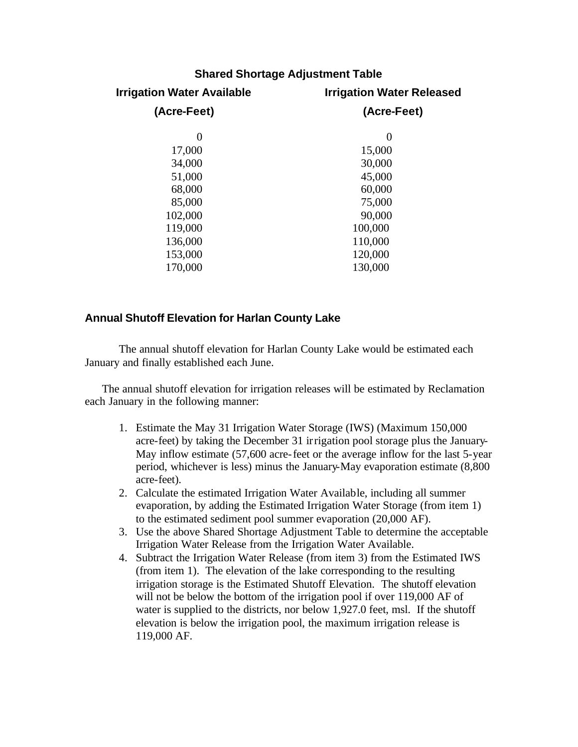| <b>Shared Shortage Adjustment Table</b> |                                  |  |
|-----------------------------------------|----------------------------------|--|
| <b>Irrigation Water Available</b>       | <b>Irrigation Water Released</b> |  |
| (Acre-Feet)                             | (Acre-Feet)                      |  |
| 0                                       | $\boldsymbol{0}$                 |  |
| 17,000                                  | 15,000                           |  |
| 34,000                                  | 30,000                           |  |
| 51,000                                  | 45,000                           |  |
| 68,000                                  | 60,000                           |  |
| 85,000                                  | 75,000                           |  |
| 102,000                                 | 90,000                           |  |
| 119,000                                 | 100,000                          |  |
| 136,000                                 | 110,000                          |  |
| 153,000                                 | 120,000                          |  |
| 170,000                                 | 130,000                          |  |
|                                         |                                  |  |

## **Annual Shutoff Elevation for Harlan County Lake**

The annual shutoff elevation for Harlan County Lake would be estimated each January and finally established each June.

The annual shutoff elevation for irrigation releases will be estimated by Reclamation each January in the following manner:

- 1. Estimate the May 31 Irrigation Water Storage (IWS) (Maximum 150,000 acre-feet) by taking the December 31 irrigation pool storage plus the January-May inflow estimate (57,600 acre-feet or the average inflow for the last 5-year period, whichever is less) minus the January-May evaporation estimate (8,800 acre-feet).
- 2. Calculate the estimated Irrigation Water Available, including all summer evaporation, by adding the Estimated Irrigation Water Storage (from item 1) to the estimated sediment pool summer evaporation (20,000 AF).
- 3. Use the above Shared Shortage Adjustment Table to determine the acceptable Irrigation Water Release from the Irrigation Water Available.
- 4. Subtract the Irrigation Water Release (from item 3) from the Estimated IWS (from item 1). The elevation of the lake corresponding to the resulting irrigation storage is the Estimated Shutoff Elevation. The shutoff elevation will not be below the bottom of the irrigation pool if over 119,000 AF of water is supplied to the districts, nor below 1,927.0 feet, msl. If the shutoff elevation is below the irrigation pool, the maximum irrigation release is 119,000 AF.